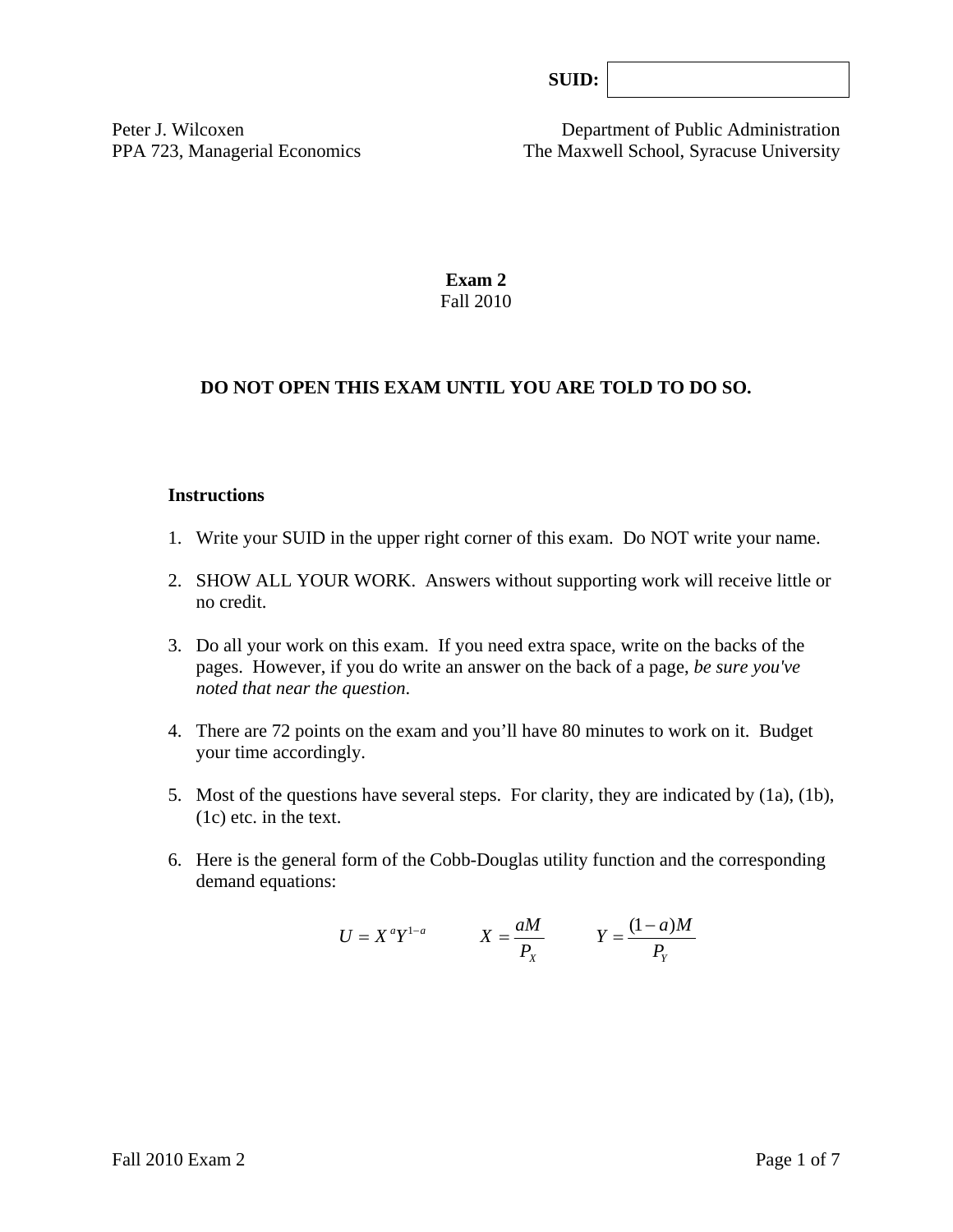Peter J. Wilcoxen Department of Public Administration PPA 723, Managerial Economics The Maxwell School, Syracuse University

> **Exam 2**  Fall 2010

# **DO NOT OPEN THIS EXAM UNTIL YOU ARE TOLD TO DO SO.**

#### **Instructions**

- 1. Write your SUID in the upper right corner of this exam. Do NOT write your name.
- 2. SHOW ALL YOUR WORK. Answers without supporting work will receive little or no credit.
- 3. Do all your work on this exam. If you need extra space, write on the backs of the pages. However, if you do write an answer on the back of a page, *be sure you've noted that near the question*.
- 4. There are 72 points on the exam and you'll have 80 minutes to work on it. Budget your time accordingly.
- 5. Most of the questions have several steps. For clarity, they are indicated by (1a), (1b), (1c) etc. in the text.
- 6. Here is the general form of the Cobb-Douglas utility function and the corresponding demand equations:

$$
U = X^a Y^{1-a} \qquad X = \frac{aM}{P_X} \qquad Y = \frac{(1-a)M}{P_Y}
$$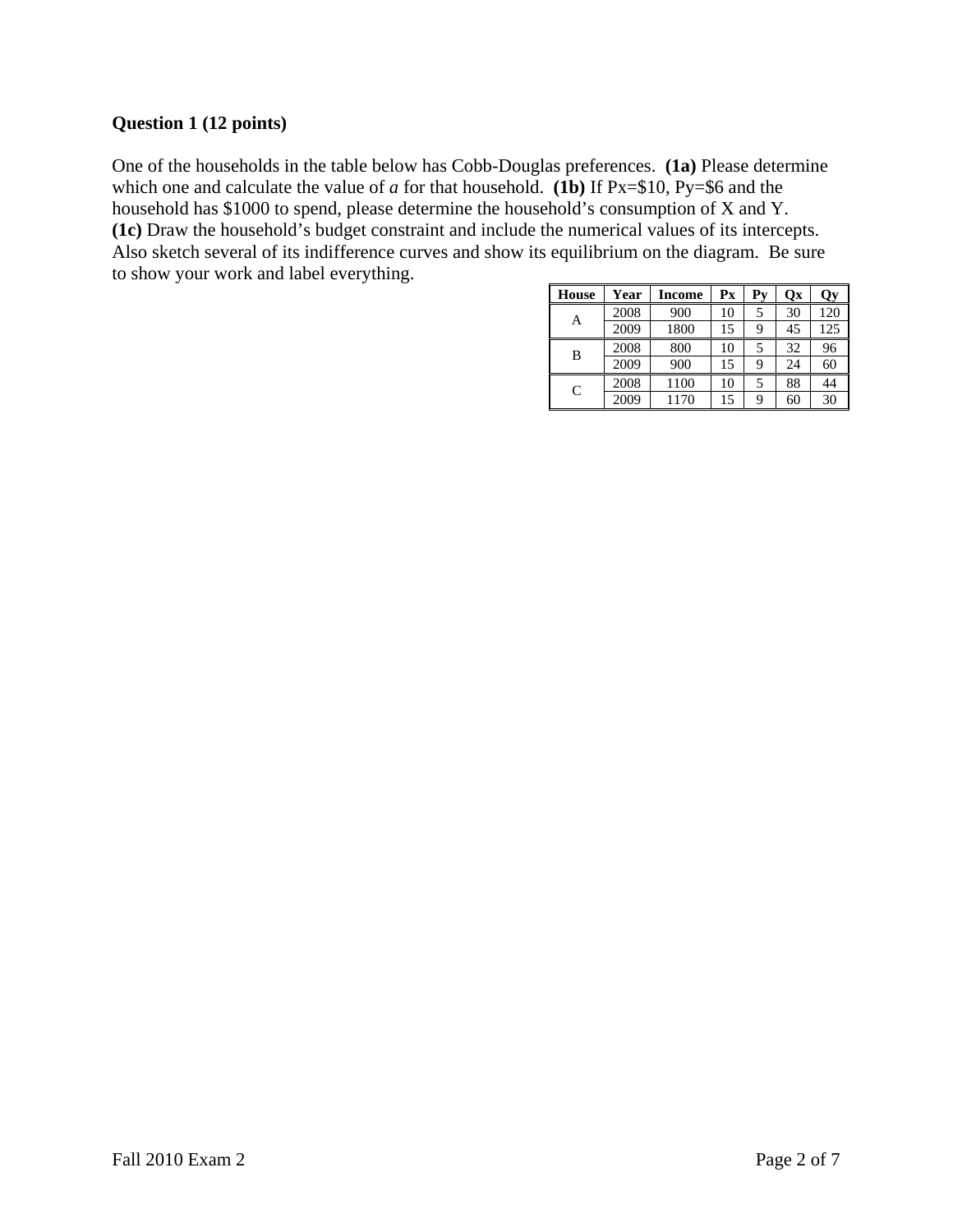## **Question 1 (12 points)**

One of the households in the table below has Cobb-Douglas preferences. **(1a)** Please determine which one and calculate the value of *a* for that household. **(1b)** If Px=\$10, Py=\$6 and the household has \$1000 to spend, please determine the household's consumption of X and Y. **(1c)** Draw the household's budget constraint and include the numerical values of its intercepts. Also sketch several of its indifference curves and show its equilibrium on the diagram. Be sure to show your work and label everything.

| <b>House</b> | Year | Income | $\mathbf{P} \mathbf{x}$ | $P_{V}$ | Ox | <b>Qy</b> |
|--------------|------|--------|-------------------------|---------|----|-----------|
| А            | 2008 | 900    | 10                      |         | 30 | 120       |
|              | 2009 | 1800   | 15                      | q       | 45 | 125       |
| B            | 2008 | 800    | 10                      |         | 32 | 96        |
|              | 2009 | 900    | 15                      | 9       | 24 | 60        |
| C            | 2008 | 1100   | 10                      | 5       | 88 | 44        |
|              | 2009 | 1170   | 15                      | q       | 60 | 30        |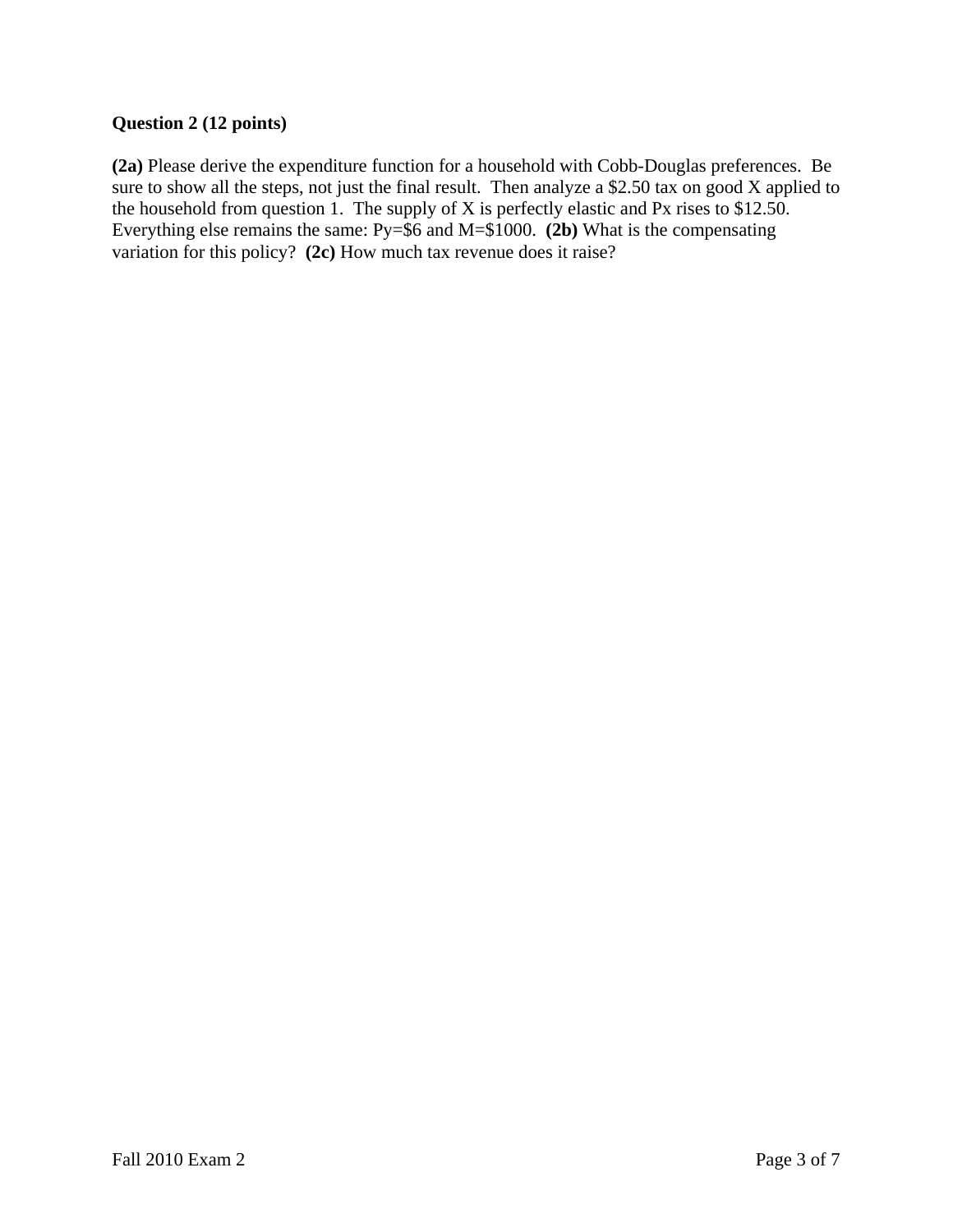## **Question 2 (12 points)**

**(2a)** Please derive the expenditure function for a household with Cobb-Douglas preferences. Be sure to show all the steps, not just the final result. Then analyze a \$2.50 tax on good X applied to the household from question 1. The supply of X is perfectly elastic and Px rises to  $$12.50$ . Everything else remains the same: Py=\$6 and M=\$1000. **(2b)** What is the compensating variation for this policy? **(2c)** How much tax revenue does it raise?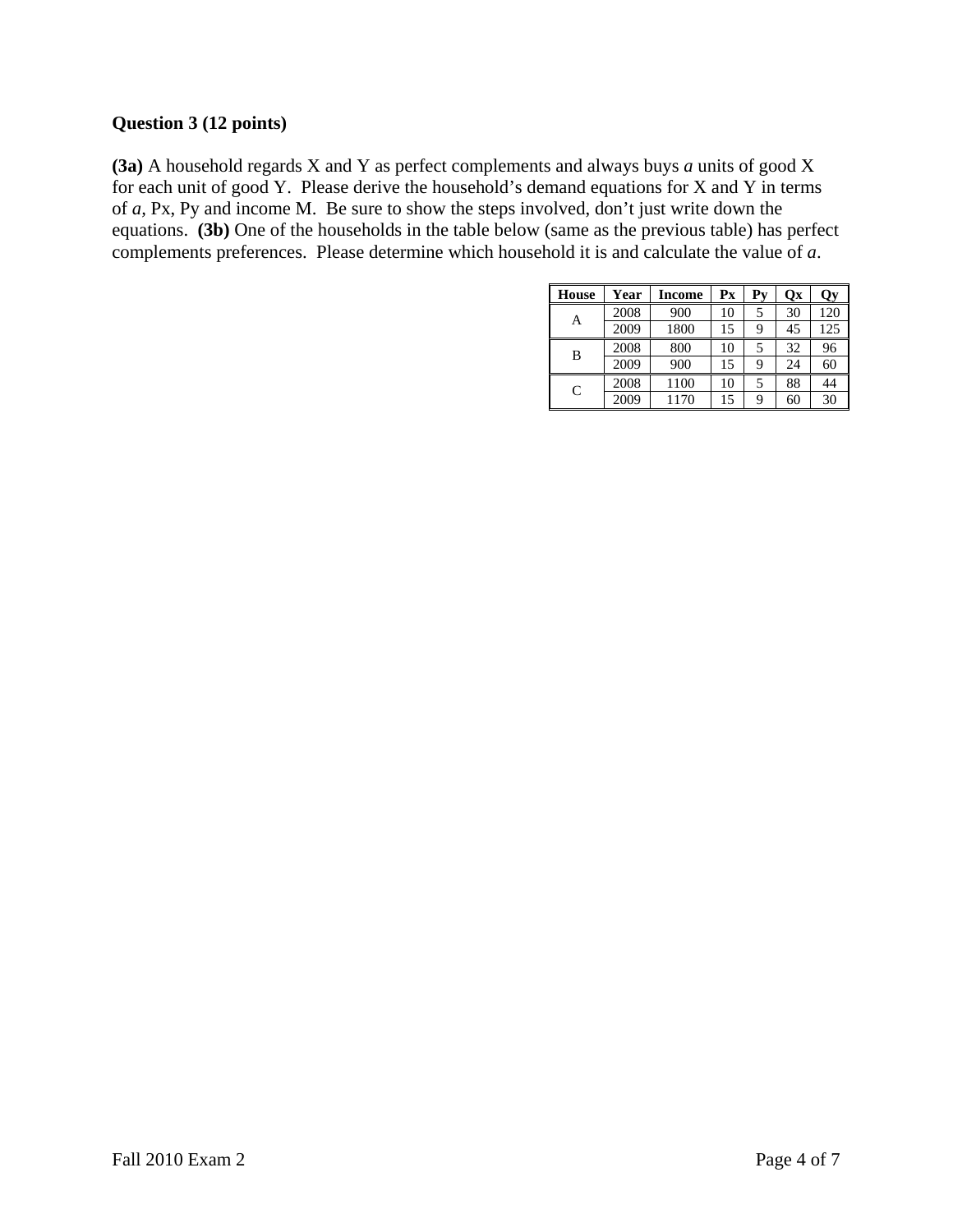### **Question 3 (12 points)**

**(3a)** A household regards X and Y as perfect complements and always buys *a* units of good X for each unit of good Y. Please derive the household's demand equations for X and Y in terms of *a,* Px, Py and income M. Be sure to show the steps involved, don't just write down the equations. **(3b)** One of the households in the table below (same as the previous table) has perfect complements preferences. Please determine which household it is and calculate the value of *a*.

| <b>House</b> | Year | Income | $\mathbf{P} \mathbf{x}$ | Pv | <b>Qx</b> | Qу  |
|--------------|------|--------|-------------------------|----|-----------|-----|
| A            | 2008 | 900    | 10                      |    | 30        | 120 |
|              | 2009 | 1800   | 15                      | q  | 45        | 125 |
| B            | 2008 | 800    | 10                      |    | 32        | 96  |
|              | 2009 | 900    | 15                      | q  | 24        | 60  |
| C            | 2008 | 1100   | 10                      | 5  | 88        | 44  |
|              | 2009 | 1170   | 15                      | q  | 60        | 30  |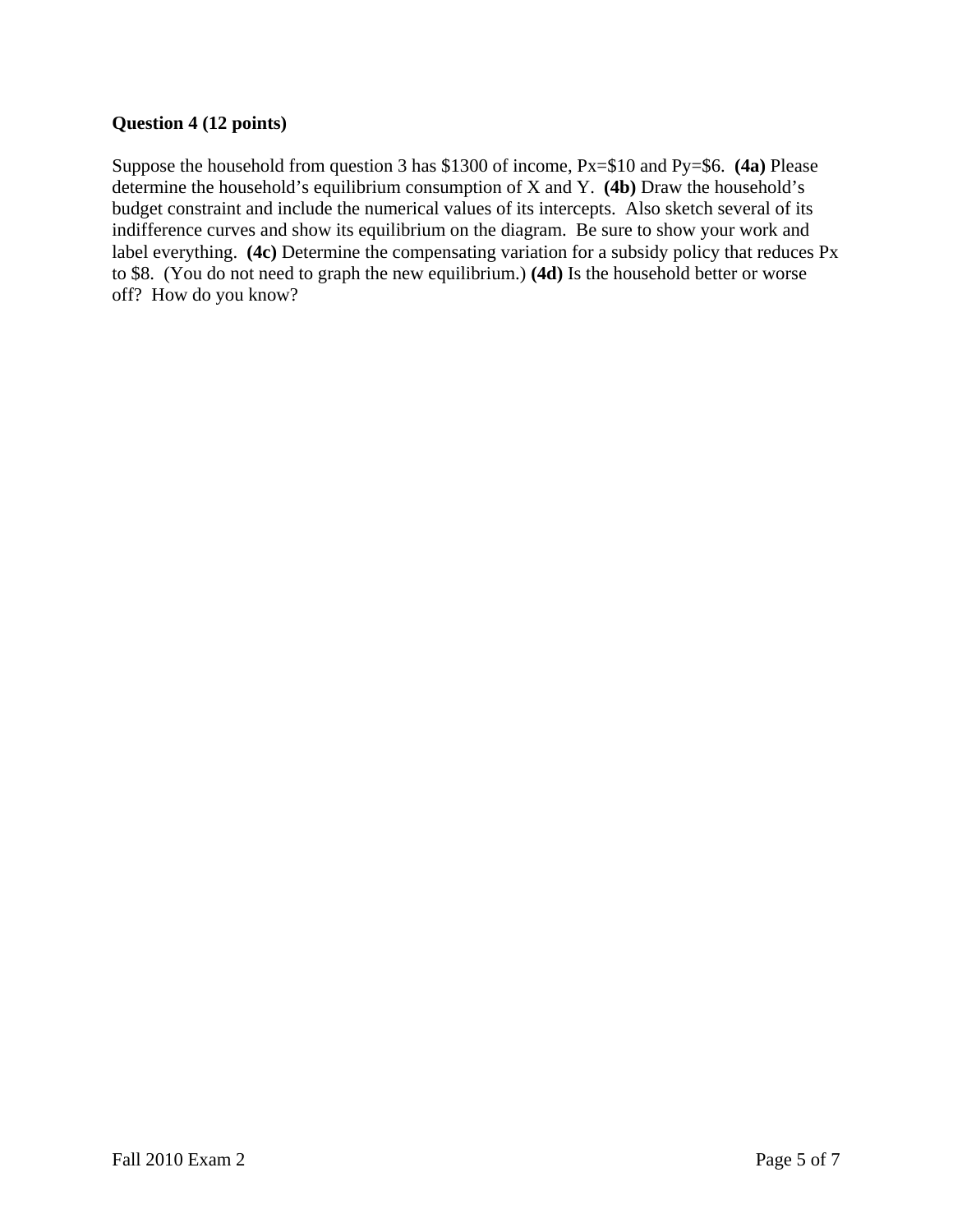### **Question 4 (12 points)**

Suppose the household from question 3 has \$1300 of income, Px=\$10 and Py=\$6. **(4a)** Please determine the household's equilibrium consumption of X and Y. **(4b)** Draw the household's budget constraint and include the numerical values of its intercepts. Also sketch several of its indifference curves and show its equilibrium on the diagram. Be sure to show your work and label everything. **(4c)** Determine the compensating variation for a subsidy policy that reduces Px to \$8. (You do not need to graph the new equilibrium.) **(4d)** Is the household better or worse off? How do you know?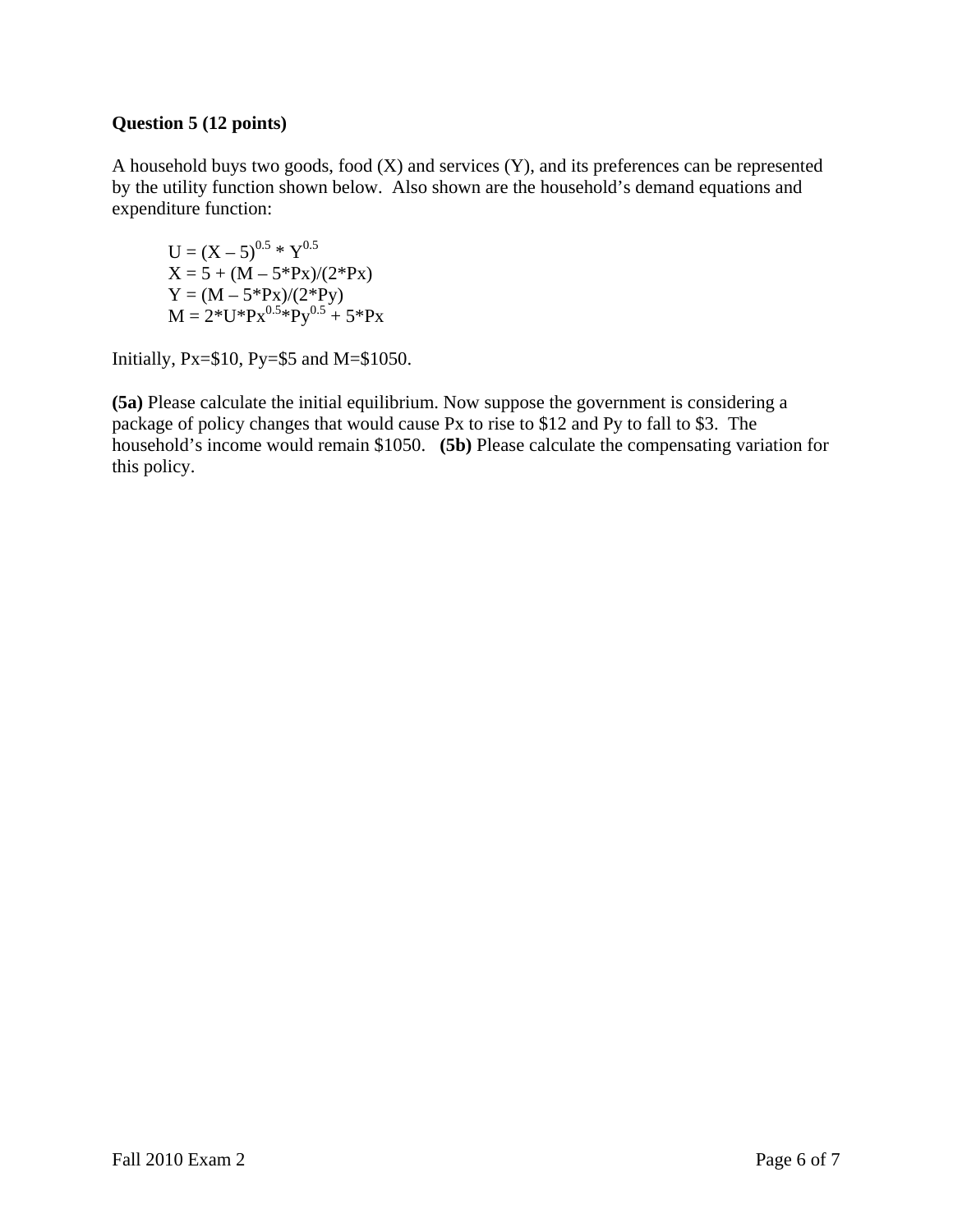### **Question 5 (12 points)**

A household buys two goods, food (X) and services (Y), and its preferences can be represented by the utility function shown below. Also shown are the household's demand equations and expenditure function:

 $U = (X - 5)^{0.5} * Y^{0.5}$  $X = 5 + (M - 5*Px)/(2*Px)$  $Y = (M - 5*Px)/(2*Py)$  $M = 2*U*Px^{0.5*Py^{0.5}} + 5*Px$ 

Initially, Px=\$10, Py=\$5 and M=\$1050.

**(5a)** Please calculate the initial equilibrium. Now suppose the government is considering a package of policy changes that would cause Px to rise to \$12 and Py to fall to \$3. The household's income would remain \$1050. **(5b)** Please calculate the compensating variation for this policy.